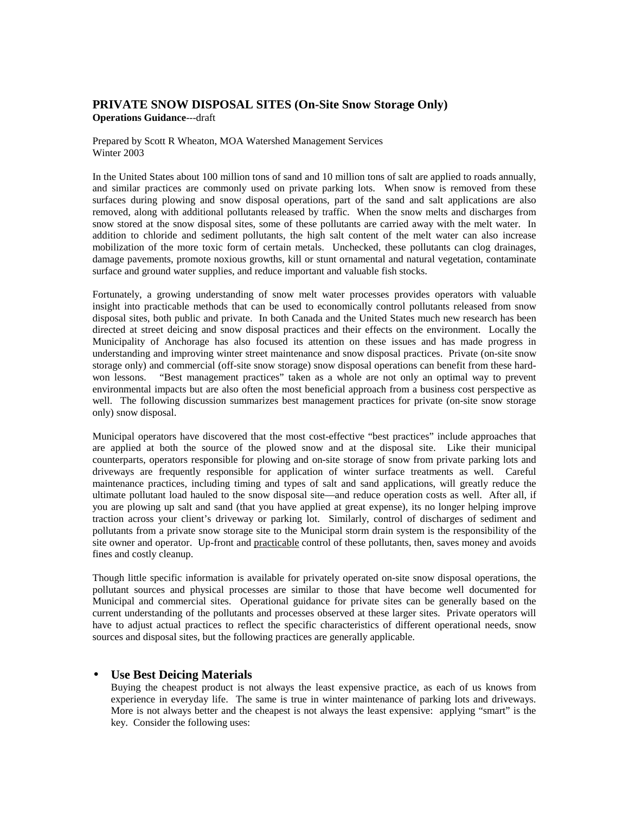# **PRIVATE SNOW DISPOSAL SITES (On-Site Snow Storage Only) Operations Guidance**---draft

Prepared by Scott R Wheaton, MOA Watershed Management Services Winter 2003

In the United States about 100 million tons of sand and 10 million tons of salt are applied to roads annually, and similar practices are commonly used on private parking lots. When snow is removed from these surfaces during plowing and snow disposal operations, part of the sand and salt applications are also removed, along with additional pollutants released by traffic. When the snow melts and discharges from snow stored at the snow disposal sites, some of these pollutants are carried away with the melt water. In addition to chloride and sediment pollutants, the high salt content of the melt water can also increase mobilization of the more toxic form of certain metals. Unchecked, these pollutants can clog drainages, damage pavements, promote noxious growths, kill or stunt ornamental and natural vegetation, contaminate surface and ground water supplies, and reduce important and valuable fish stocks.

Fortunately, a growing understanding of snow melt water processes provides operators with valuable insight into practicable methods that can be used to economically control pollutants released from snow disposal sites, both public and private. In both Canada and the United States much new research has been directed at street deicing and snow disposal practices and their effects on the environment. Locally the Municipality of Anchorage has also focused its attention on these issues and has made progress in understanding and improving winter street maintenance and snow disposal practices. Private (on-site snow storage only) and commercial (off-site snow storage) snow disposal operations can benefit from these hardwon lessons. "Best management practices" taken as a whole are not only an optimal way to prevent environmental impacts but are also often the most beneficial approach from a business cost perspective as well. The following discussion summarizes best management practices for private (on-site snow storage only) snow disposal.

Municipal operators have discovered that the most cost-effective "best practices" include approaches that are applied at both the source of the plowed snow and at the disposal site. Like their municipal counterparts, operators responsible for plowing and on-site storage of snow from private parking lots and driveways are frequently responsible for application of winter surface treatments as well. Careful maintenance practices, including timing and types of salt and sand applications, will greatly reduce the ultimate pollutant load hauled to the snow disposal site—and reduce operation costs as well. After all, if you are plowing up salt and sand (that you have applied at great expense), its no longer helping improve traction across your client's driveway or parking lot. Similarly, control of discharges of sediment and pollutants from a private snow storage site to the Municipal storm drain system is the responsibility of the site owner and operator. Up-front and practicable control of these pollutants, then, saves money and avoids fines and costly cleanup.

Though little specific information is available for privately operated on-site snow disposal operations, the pollutant sources and physical processes are similar to those that have become well documented for Municipal and commercial sites. Operational guidance for private sites can be generally based on the current understanding of the pollutants and processes observed at these larger sites. Private operators will have to adjust actual practices to reflect the specific characteristics of different operational needs, snow sources and disposal sites, but the following practices are generally applicable.

## • **Use Best Deicing Materials**

Buying the cheapest product is not always the least expensive practice, as each of us knows from experience in everyday life. The same is true in winter maintenance of parking lots and driveways. More is not always better and the cheapest is not always the least expensive: applying "smart" is the key. Consider the following uses: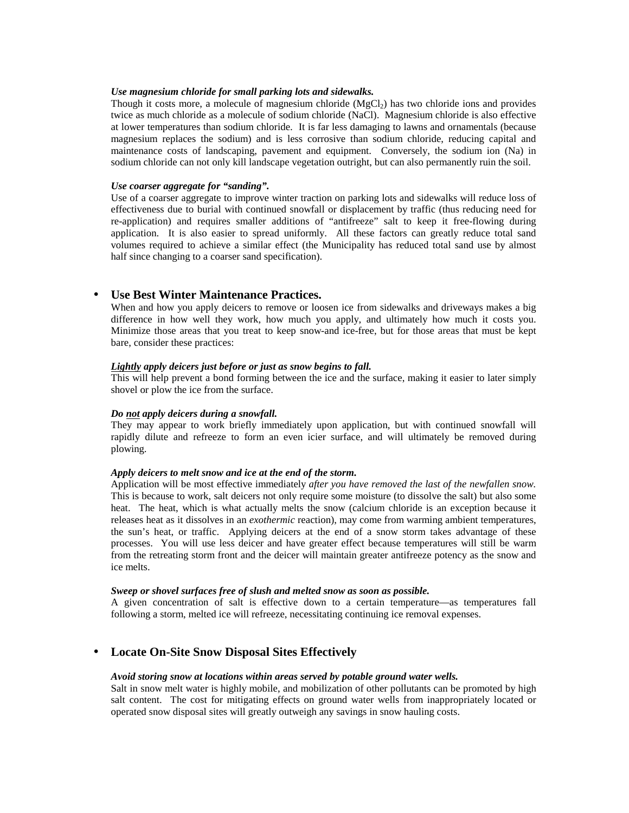### *Use magnesium chloride for small parking lots and sidewalks.*

Though it costs more, a molecule of magnesium chloride  $(MgCl<sub>2</sub>)$  has two chloride ions and provides twice as much chloride as a molecule of sodium chloride (NaCl). Magnesium chloride is also effective at lower temperatures than sodium chloride. It is far less damaging to lawns and ornamentals (because magnesium replaces the sodium) and is less corrosive than sodium chloride, reducing capital and maintenance costs of landscaping, pavement and equipment. Conversely, the sodium ion (Na) in sodium chloride can not only kill landscape vegetation outright, but can also permanently ruin the soil.

### *Use coarser aggregate for "sanding".*

Use of a coarser aggregate to improve winter traction on parking lots and sidewalks will reduce loss of effectiveness due to burial with continued snowfall or displacement by traffic (thus reducing need for re-application) and requires smaller additions of "antifreeze" salt to keep it free-flowing during application. It is also easier to spread uniformly. All these factors can greatly reduce total sand volumes required to achieve a similar effect (the Municipality has reduced total sand use by almost half since changing to a coarser sand specification).

## • **Use Best Winter Maintenance Practices.**

When and how you apply deicers to remove or loosen ice from sidewalks and driveways makes a big difference in how well they work, how much you apply, and ultimately how much it costs you. Minimize those areas that you treat to keep snow-and ice-free, but for those areas that must be kept bare, consider these practices:

## *Lightly apply deicers just before or just as snow begins to fall.*

This will help prevent a bond forming between the ice and the surface, making it easier to later simply shovel or plow the ice from the surface.

### *Do not apply deicers during a snowfall.*

They may appear to work briefly immediately upon application, but with continued snowfall will rapidly dilute and refreeze to form an even icier surface, and will ultimately be removed during plowing.

## *Apply deicers to melt snow and ice at the end of the storm.*

Application will be most effective immediately *after you have removed the last of the newfallen snow.* This is because to work, salt deicers not only require some moisture (to dissolve the salt) but also some heat. The heat, which is what actually melts the snow (calcium chloride is an exception because it releases heat as it dissolves in an *exothermic* reaction), may come from warming ambient temperatures, the sun's heat, or traffic. Applying deicers at the end of a snow storm takes advantage of these processes. You will use less deicer and have greater effect because temperatures will still be warm from the retreating storm front and the deicer will maintain greater antifreeze potency as the snow and ice melts.

#### *Sweep or shovel surfaces free of slush and melted snow as soon as possible.*

A given concentration of salt is effective down to a certain temperature—as temperatures fall following a storm, melted ice will refreeze, necessitating continuing ice removal expenses.

## • **Locate On-Site Snow Disposal Sites Effectively**

### *Avoid storing snow at locations within areas served by potable ground water wells.*

Salt in snow melt water is highly mobile, and mobilization of other pollutants can be promoted by high salt content. The cost for mitigating effects on ground water wells from inappropriately located or operated snow disposal sites will greatly outweigh any savings in snow hauling costs.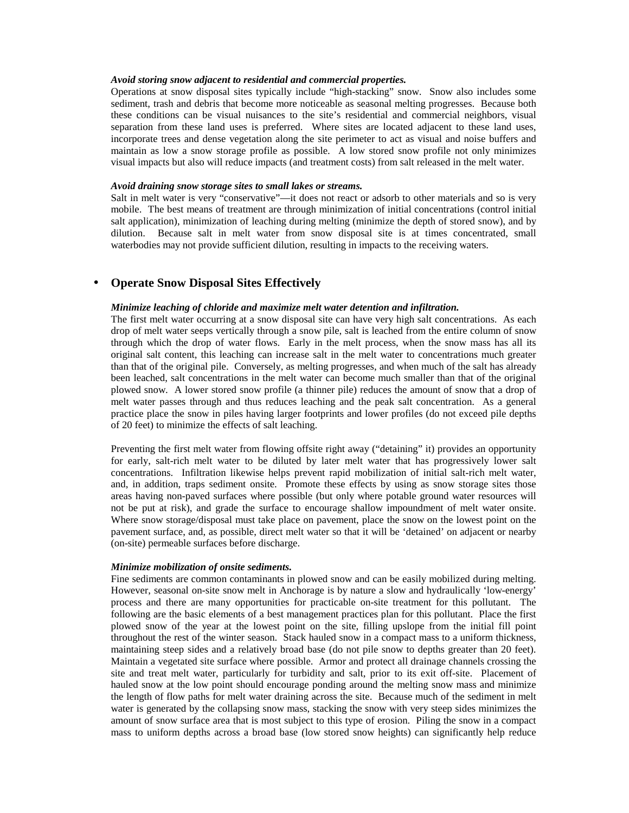## *Avoid storing snow adjacent to residential and commercial properties.*

Operations at snow disposal sites typically include "high-stacking" snow. Snow also includes some sediment, trash and debris that become more noticeable as seasonal melting progresses. Because both these conditions can be visual nuisances to the site's residential and commercial neighbors, visual separation from these land uses is preferred. Where sites are located adjacent to these land uses, incorporate trees and dense vegetation along the site perimeter to act as visual and noise buffers and maintain as low a snow storage profile as possible. A low stored snow profile not only minimizes visual impacts but also will reduce impacts (and treatment costs) from salt released in the melt water.

### *Avoid draining snow storage sites to small lakes or streams.*

Salt in melt water is very "conservative"—it does not react or adsorb to other materials and so is very mobile. The best means of treatment are through minimization of initial concentrations (control initial salt application), minimization of leaching during melting (minimize the depth of stored snow), and by dilution. Because salt in melt water from snow disposal site is at times concentrated, small waterbodies may not provide sufficient dilution, resulting in impacts to the receiving waters.

## • **Operate Snow Disposal Sites Effectively**

#### *Minimize leaching of chloride and maximize melt water detention and infiltration.*

The first melt water occurring at a snow disposal site can have very high salt concentrations. As each drop of melt water seeps vertically through a snow pile, salt is leached from the entire column of snow through which the drop of water flows. Early in the melt process, when the snow mass has all its original salt content, this leaching can increase salt in the melt water to concentrations much greater than that of the original pile. Conversely, as melting progresses, and when much of the salt has already been leached, salt concentrations in the melt water can become much smaller than that of the original plowed snow. A lower stored snow profile (a thinner pile) reduces the amount of snow that a drop of melt water passes through and thus reduces leaching and the peak salt concentration. As a general practice place the snow in piles having larger footprints and lower profiles (do not exceed pile depths of 20 feet) to minimize the effects of salt leaching.

Preventing the first melt water from flowing offsite right away ("detaining" it) provides an opportunity for early, salt-rich melt water to be diluted by later melt water that has progressively lower salt concentrations. Infiltration likewise helps prevent rapid mobilization of initial salt-rich melt water, and, in addition, traps sediment onsite. Promote these effects by using as snow storage sites those areas having non-paved surfaces where possible (but only where potable ground water resources will not be put at risk), and grade the surface to encourage shallow impoundment of melt water onsite. Where snow storage/disposal must take place on pavement, place the snow on the lowest point on the pavement surface, and, as possible, direct melt water so that it will be 'detained' on adjacent or nearby (on-site) permeable surfaces before discharge.

#### *Minimize mobilization of onsite sediments.*

Fine sediments are common contaminants in plowed snow and can be easily mobilized during melting. However, seasonal on-site snow melt in Anchorage is by nature a slow and hydraulically 'low-energy' process and there are many opportunities for practicable on-site treatment for this pollutant. The following are the basic elements of a best management practices plan for this pollutant. Place the first plowed snow of the year at the lowest point on the site, filling upslope from the initial fill point throughout the rest of the winter season. Stack hauled snow in a compact mass to a uniform thickness, maintaining steep sides and a relatively broad base (do not pile snow to depths greater than 20 feet). Maintain a vegetated site surface where possible. Armor and protect all drainage channels crossing the site and treat melt water, particularly for turbidity and salt, prior to its exit off-site. Placement of hauled snow at the low point should encourage ponding around the melting snow mass and minimize the length of flow paths for melt water draining across the site. Because much of the sediment in melt water is generated by the collapsing snow mass, stacking the snow with very steep sides minimizes the amount of snow surface area that is most subject to this type of erosion. Piling the snow in a compact mass to uniform depths across a broad base (low stored snow heights) can significantly help reduce